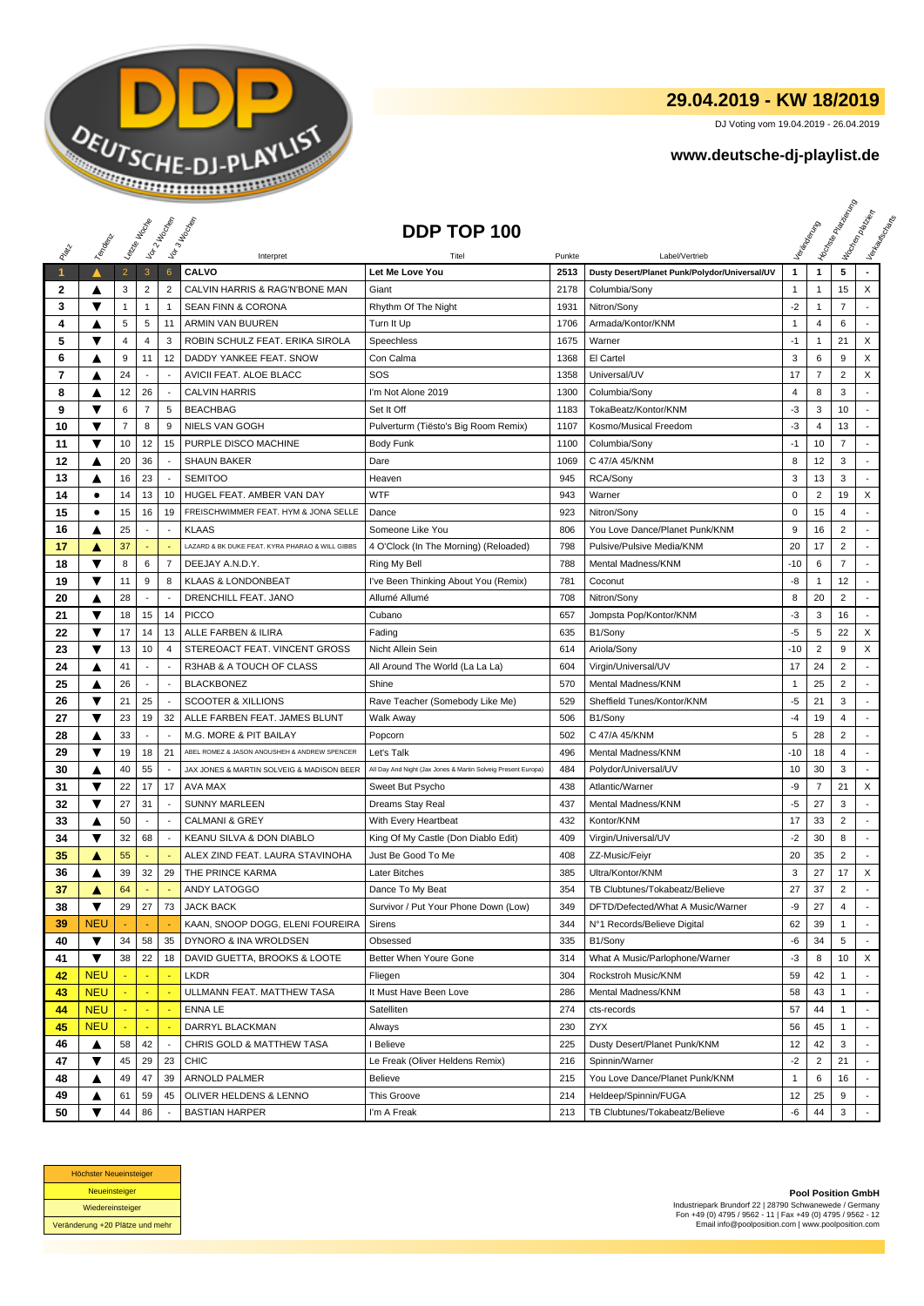

## **29.04.2019 - KW 18/2019**

DJ Voting vom 19.04.2019 - 26.04.2019

## **www.deutsche-dj-playlist.de**

|              |                         | Leizie Hacope  |                          | Vor 2 Hacocop            | Vor 3 Hoopen                                    | DDP TOP 100                                                   |        |                                               |              |                | <b>Honse</b><br>Management Management | Workenberg<br>Verkaufschaft |
|--------------|-------------------------|----------------|--------------------------|--------------------------|-------------------------------------------------|---------------------------------------------------------------|--------|-----------------------------------------------|--------------|----------------|---------------------------------------|-----------------------------|
|              | Temporal                |                |                          |                          |                                                 |                                                               |        |                                               |              |                |                                       |                             |
|              |                         |                |                          |                          | Interpret                                       | Titel                                                         | Punkte | Label/Vertrieb                                |              |                |                                       |                             |
| $\mathbf{1}$ |                         | $\overline{2}$ | $\mathbf{3}$             | $6\phantom{1}6$          | <b>CALVO</b>                                    | Let Me Love You                                               | 2513   | Dusty Desert/Planet Punk/Polydor/Universal/UV | 1            | $\mathbf{1}$   | 5                                     |                             |
| 2            | ▲                       | 3              | $\overline{2}$           | $\overline{2}$           | CALVIN HARRIS & RAG'N'BONE MAN                  | Giant                                                         | 2178   | Columbia/Sony                                 | 1            | $\mathbf{1}$   | 15                                    | X                           |
| 3            | ▼                       | $\mathbf{1}$   | 1                        | $\mathbf{1}$             | <b>SEAN FINN &amp; CORONA</b>                   | Rhythm Of The Night                                           | 1931   | Nitron/Sony                                   | $-2$         | $\mathbf{1}$   | $\overline{7}$                        |                             |
| 4            |                         | 5              | 5                        | 11                       | ARMIN VAN BUUREN                                | Turn It Up                                                    | 1706   | Armada/Kontor/KNM                             | $\mathbf{1}$ | $\overline{4}$ | 6                                     |                             |
| 5            | ▼                       | $\overline{4}$ | $\overline{4}$           | 3                        | ROBIN SCHULZ FEAT. ERIKA SIROLA                 | Speechless                                                    | 1675   | Warner                                        | $-1$         | $\mathbf{1}$   | 21                                    | X                           |
| 6            | ▲                       | 9              | 11                       | 12                       | DADDY YANKEE FEAT. SNOW                         | Con Calma                                                     | 1368   | El Cartel                                     | 3            | 6              | 9                                     | X                           |
| 7            | ▲                       | 24             | $\sim$                   | $\overline{\phantom{a}}$ | AVICII FEAT. ALOE BLACC                         | SOS                                                           | 1358   | Universal/UV                                  | 17           | $\overline{7}$ | $\overline{2}$                        | X                           |
| 8            | ▲                       | 12             | 26                       | $\overline{\phantom{a}}$ | <b>CALVIN HARRIS</b>                            | I'm Not Alone 2019                                            | 1300   | Columbia/Sony                                 | 4            | 8              | 3                                     |                             |
| 9            | ▼                       | 6              | $\overline{7}$           | 5                        | <b>BEACHBAG</b>                                 | Set It Off                                                    | 1183   | TokaBeatz/Kontor/KNM                          | -3           | 3              | 10                                    |                             |
| 10           | ▼                       | 7              | 8                        | 9                        | NIELS VAN GOGH                                  | Pulverturm (Tiësto's Big Room Remix)                          | 1107   | Kosmo/Musical Freedom                         | $-3$         | 4              | 13                                    |                             |
| 11           | ▼                       | 10             | 12                       | 15                       | PURPLE DISCO MACHINE                            | <b>Body Funk</b>                                              | 1100   | Columbia/Sony                                 | $-1$         | 10             | 7                                     |                             |
| 12           | ▲                       | 20             | 36                       | $\overline{a}$           | <b>SHAUN BAKER</b>                              | Dare                                                          | 1069   | C 47/A 45/KNM                                 | 8            | 12             | 3                                     |                             |
| 13           | ▲                       | 16             | 23                       | $\blacksquare$           | <b>SEMITOO</b>                                  | Heaven                                                        | 945    | RCA/Sony                                      | 3            | 13             | 3                                     |                             |
| 14           | $\bullet$               | 14             | 13                       | 10                       | HUGEL FEAT. AMBER VAN DAY                       | <b>WTF</b>                                                    | 943    | Warner                                        | $\mathbf 0$  | $\overline{2}$ | 19                                    | X                           |
| 15           | $\bullet$               | 15             | 16                       | 19                       | FREISCHWIMMER FEAT. HYM & JONA SELLE            | Dance                                                         | 923    | Nitron/Sony                                   | 0            | 15             | 4                                     |                             |
| 16           | ▲                       | 25             | $\overline{\phantom{a}}$ | $\overline{\phantom{a}}$ | KLAAS                                           | Someone Like You                                              | 806    | You Love Dance/Planet Punk/KNM                | 9            | 16             | 2                                     |                             |
| 17           | A                       | 37             |                          |                          | LAZARD & BK DUKE FEAT. KYRA PHARAO & WILL GIBBS | 4 O'Clock (In The Morning) (Reloaded)                         | 798    | Pulsive/Pulsive Media/KNM                     | 20           | 17             | $\overline{2}$                        |                             |
| 18           | $\overline{\textbf{v}}$ | 8              | 6                        | $\overline{7}$           | DEEJAY A.N.D.Y.                                 | Ring My Bell                                                  | 788    | Mental Madness/KNM                            | -10          | 6              | $\overline{7}$                        |                             |
| 19           | ▼                       | 11             | 9                        | 8                        | <b>KLAAS &amp; LONDONBEAT</b>                   | I've Been Thinking About You (Remix)                          | 781    | Coconut                                       | -8           | $\mathbf{1}$   | 12                                    |                             |
| 20           | ▲                       | 28             | $\blacksquare$           | $\overline{\phantom{a}}$ | DRENCHILL FEAT, JANO                            | Allumé Allumé                                                 | 708    | Nitron/Sony                                   | 8            | 20             | $\overline{2}$                        | ÷,                          |
| 21           | ▼                       | 18             | 15                       | 14                       | <b>PICCO</b>                                    | Cubano                                                        | 657    | Jompsta Pop/Kontor/KNM                        | $-3$         | 3              | 16                                    | $\sim$                      |
| 22           | ▼                       | 17             | 14                       | 13                       | ALLE FARBEN & ILIRA                             | Fading                                                        | 635    | B1/Sony                                       | -5           | 5              | 22                                    | X                           |
| 23           | ▼                       | 13             | 10                       | 4                        | STEREOACT FEAT. VINCENT GROSS                   | Nicht Allein Sein                                             | 614    | Ariola/Sony                                   | $-10$        | $\overline{2}$ | 9                                     | X                           |
| 24           | ▲                       | 41             | $\overline{\phantom{a}}$ | $\blacksquare$           | R3HAB & A TOUCH OF CLASS                        | All Around The World (La La La)                               | 604    | Virgin/Universal/UV                           | 17           | 24             | $\overline{2}$                        |                             |
| 25           | ▲                       | 26             | $\blacksquare$           |                          | <b>BLACKBONEZ</b>                               | Shine                                                         | 570    | Mental Madness/KNM                            | $\mathbf{1}$ | 25             | $\overline{2}$                        |                             |
| 26           | ▼                       | 21             | 25                       | $\overline{\phantom{a}}$ | <b>SCOOTER &amp; XILLIONS</b>                   | Rave Teacher (Somebody Like Me)                               | 529    | Sheffield Tunes/Kontor/KNM                    | $-5$         | 21             | 3                                     |                             |
| 27           | ▼                       | 23             | 19                       | 32                       | ALLE FARBEN FEAT. JAMES BLUNT                   | Walk Away                                                     | 506    | B1/Sony                                       | $-4$         | 19             | 4                                     | $\overline{a}$              |
| 28           | ▲                       | 33             |                          |                          | M.G. MORE & PIT BAILAY                          | Popcorn                                                       | 502    | C 47/A 45/KNM                                 | 5            | 28             | $\overline{c}$                        |                             |
| 29           | ▼                       | 19             | 18                       | 21                       | ABEL ROMEZ & JASON ANOUSHEH & ANDREW SPENCER    | Let's Talk                                                    | 496    | Mental Madness/KNM                            | -10          | 18             | 4                                     |                             |
| 30           | ▲                       | 40             | 55                       | $\sim$                   | JAX JONES & MARTIN SOLVEIG & MADISON BEER       | All Day And Night (Jax Jones & Martin Solveig Present Europa) | 484    | Polydor/Universal/UV                          | 10           | 30             | 3                                     |                             |
| 31           | ▼                       | 22             | 17                       | 17                       | AVA MAX                                         | Sweet But Psycho                                              | 438    | Atlantic/Warner                               | -9           | 7              | 21                                    | X                           |
| 32           | ▼                       | 27             | 31                       |                          | <b>SUNNY MARLEEN</b>                            | Dreams Stay Real                                              | 437    | Mental Madness/KNM                            | -5           | 27             | 3                                     |                             |
| 33           | ▲                       | 50             | $\sim$                   |                          | <b>CALMANI &amp; GREY</b>                       | With Every Heartbeat                                          | 432    | Kontor/KNM                                    | 17           | 33             | 2                                     |                             |
| 34           | ▼                       | 32             | 68                       | $\sim$                   | KEANU SILVA & DON DIABLO                        | King Of My Castle (Don Diablo Edit)                           | 409    | Virgin/Universal/UV                           | $-2$         | 30             | 8                                     | $\overline{a}$              |
| 35           | A                       | 55             |                          |                          | ALEX ZIND FEAT. LAURA STAVINOHA                 | Just Be Good To Me                                            | 408    | ZZ-Music/Feiyr                                | 20           | 35             | 2                                     |                             |
| 36           | ▲                       | 39             | 32                       | 29                       | THE PRINCE KARMA                                | <b>Later Bitches</b>                                          | 385    | Ultra/Kontor/KNM                              | 3            | 27             | 17                                    | X                           |
| 37           | A                       | 64             | ÷                        |                          | <b>ANDY LATOGGO</b>                             | Dance To My Beat                                              | 354    | TB Clubtunes/Tokabeatz/Believe                | 27           | 37             | $\overline{2}$                        |                             |
| 38           | ▼                       | 29             | 27                       | 73                       | <b>JACK BACK</b>                                | Survivor / Put Your Phone Down (Low)                          | 349    | DFTD/Defected/What A Music/Warner             | -9           | 27             | 4                                     |                             |
| 39           | <b>NEU</b>              |                |                          |                          | KAAN, SNOOP DOGG, ELENI FOUREIRA                | Sirens                                                        | 344    | N°1 Records/Believe Digital                   | 62           | 39             | $\mathbf{1}$                          |                             |
| 40           | ▼                       | 34             | 58                       | 35                       | DYNORO & INA WROLDSEN                           | Obsessed                                                      | 335    | B1/Sony                                       | -6           | 34             | 5                                     |                             |
| 41           | ▼                       | 38             | 22                       | 18                       | DAVID GUETTA, BROOKS & LOOTE                    | Better When Youre Gone                                        | 314    | What A Music/Parlophone/Warner                | $-3$         | 8              | 10                                    | X                           |
| 42           | <b>NEU</b>              |                |                          |                          | <b>LKDR</b>                                     | Fliegen                                                       | 304    | Rockstroh Music/KNM                           | 59           | 42             | $\mathbf{1}$                          |                             |
| 43           | <b>NEU</b>              |                |                          |                          | ULLMANN FEAT. MATTHEW TASA                      | It Must Have Been Love                                        | 286    | Mental Madness/KNM                            | 58           | 43             | 1                                     |                             |
| 44           | <b>NEU</b>              |                | $\blacksquare$           |                          | <b>ENNA LE</b>                                  | Satelliten                                                    | 274    | cts-records                                   | 57           | 44             |                                       |                             |
| 45           | <b>NEU</b>              |                | $\blacksquare$           |                          | DARRYL BLACKMAN                                 | Always                                                        | 230    | <b>ZYX</b>                                    | 56           | 45             | 1                                     |                             |
| 46           | ▲                       | 58             | 42                       | $\overline{\phantom{a}}$ | CHRIS GOLD & MATTHEW TASA                       | I Believe                                                     | 225    | Dusty Desert/Planet Punk/KNM                  | 12           | 42             | 3                                     | $\overline{a}$              |
| 47           | ▼                       | 45             | 29                       | 23                       | <b>CHIC</b>                                     | Le Freak (Oliver Heldens Remix)                               | 216    | Spinnin/Warner                                | $-2$         | $\overline{2}$ | 21                                    |                             |
| 48           | ▲                       | 49             | 47                       | 39                       | ARNOLD PALMER                                   | <b>Believe</b>                                                | 215    | You Love Dance/Planet Punk/KNM                | 1            | 6              | 16                                    |                             |
| 49           | ▲                       | 61             | 59                       | 45                       | OLIVER HELDENS & LENNO                          | This Groove                                                   | 214    | Heldeep/Spinnin/FUGA                          | 12           | 25             | 9                                     |                             |
| 50           | ▼                       | 44             | 86                       |                          | <b>BASTIAN HARPER</b>                           | I'm A Freak                                                   | 213    | TB Clubtunes/Tokabeatz/Believe                | -6           | 44             | 3                                     |                             |



**Pool Position GmbH** Industriepark Brundorf 22 | 28790 Schwanewede / Germany Fon +49 (0) 4795 / 9562 - 11 | Fax +49 (0) 4795 / 9562 - 12 Email info@poolposition.com | www.poolposition.com